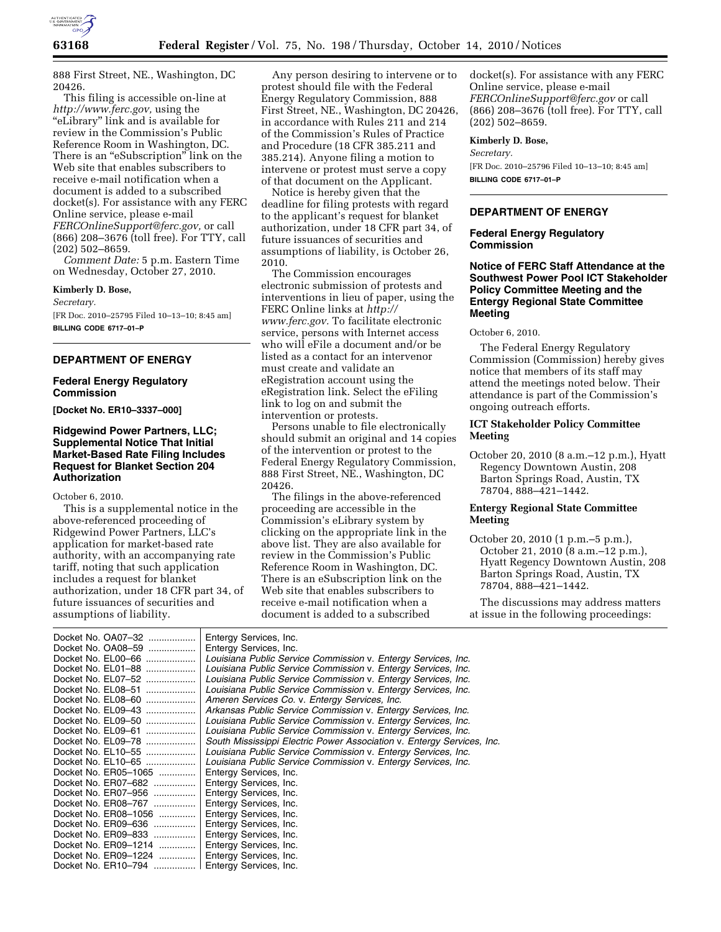

888 First Street, NE., Washington, DC 20426.

This filing is accessible on-line at *[http://www.ferc.gov,](http://www.ferc.gov)* using the ''eLibrary'' link and is available for review in the Commission's Public Reference Room in Washington, DC. There is an "eSubscription" link on the Web site that enables subscribers to receive e-mail notification when a document is added to a subscribed docket(s). For assistance with any FERC Online service, please e-mail *[FERCOnlineSupport@ferc.gov,](mailto:FERCOnlineSupport@ferc.gov)* or call (866) 208–3676 (toll free). For TTY, call (202) 502–8659.

*Comment Date:* 5 p.m. Eastern Time on Wednesday, October 27, 2010.

**Kimberly D. Bose,** 

*Secretary.* 

[FR Doc. 2010–25795 Filed 10–13–10; 8:45 am] **BILLING CODE 6717–01–P** 

# **DEPARTMENT OF ENERGY**

#### **Federal Energy Regulatory Commission**

**[Docket No. ER10–3337–000]** 

## **Ridgewind Power Partners, LLC; Supplemental Notice That Initial Market-Based Rate Filing Includes Request for Blanket Section 204 Authorization**

October 6, 2010.

This is a supplemental notice in the above-referenced proceeding of Ridgewind Power Partners, LLC's application for market-based rate authority, with an accompanying rate tariff, noting that such application includes a request for blanket authorization, under 18 CFR part 34, of future issuances of securities and assumptions of liability.

Any person desiring to intervene or to protest should file with the Federal Energy Regulatory Commission, 888 First Street, NE., Washington, DC 20426, in accordance with Rules 211 and 214 of the Commission's Rules of Practice and Procedure (18 CFR 385.211 and 385.214). Anyone filing a motion to intervene or protest must serve a copy of that document on the Applicant.

Notice is hereby given that the deadline for filing protests with regard to the applicant's request for blanket authorization, under 18 CFR part 34, of future issuances of securities and assumptions of liability, is October 26, 2010.

The Commission encourages electronic submission of protests and interventions in lieu of paper, using the FERC Online links at *[http://](http://www.ferc.gov)  [www.ferc.gov.](http://www.ferc.gov)* To facilitate electronic service, persons with Internet access who will eFile a document and/or be listed as a contact for an intervenor must create and validate an eRegistration account using the eRegistration link. Select the eFiling link to log on and submit the intervention or protests.

Persons unable to file electronically should submit an original and 14 copies of the intervention or protest to the Federal Energy Regulatory Commission, 888 First Street, NE., Washington, DC 20426.

The filings in the above-referenced proceeding are accessible in the Commission's eLibrary system by clicking on the appropriate link in the above list. They are also available for review in the Commission's Public Reference Room in Washington, DC. There is an eSubscription link on the Web site that enables subscribers to receive e-mail notification when a document is added to a subscribed

docket(s). For assistance with any FERC Online service, please e-mail *[FERCOnlineSupport@ferc.gov](mailto:FERCOnlineSupport@ferc.gov)* or call (866) 208–3676 (toll free). For TTY, call (202) 502–8659.

**Kimberly D. Bose,** 

*Secretary.* 

[FR Doc. 2010–25796 Filed 10–13–10; 8:45 am] **BILLING CODE 6717–01–P** 

# **DEPARTMENT OF ENERGY**

## **Federal Energy Regulatory Commission**

# **Notice of FERC Staff Attendance at the Southwest Power Pool ICT Stakeholder Policy Committee Meeting and the Entergy Regional State Committee Meeting**

October 6, 2010.

The Federal Energy Regulatory Commission (Commission) hereby gives notice that members of its staff may attend the meetings noted below. Their attendance is part of the Commission's ongoing outreach efforts.

## **ICT Stakeholder Policy Committee Meeting**

October 20, 2010 (8 a.m.–12 p.m.), Hyatt Regency Downtown Austin, 208 Barton Springs Road, Austin, TX 78704, 888–421–1442.

#### **Entergy Regional State Committee Meeting**

October 20, 2010 (1 p.m.–5 p.m.), October 21, 2010 (8 a.m.–12 p.m.), Hyatt Regency Downtown Austin, 208 Barton Springs Road, Austin, TX 78704, 888–421–1442.

The discussions may address matters at issue in the following proceedings:

| Docket No. OA07-32<br>Docket No. OA08-59<br>Docket No. EL00-66<br>Docket No. EL01-88<br>Docket No. EL07-52<br>Docket No. EL08-51<br>Docket No. EL08-60<br>Docket No. EL09-43<br>Docket No. EL09-50<br>Docket No. EL09-61<br>Docket No. EL09-78<br>Docket No. EL10-55<br>Docket No. EL10-65<br>Docket No. ER05-1065<br>Docket No. ER07-682<br>Docket No. ER07-956<br>Docket No. ER08-767<br>Docket No. ER08-1056<br>Docket No. ER09-636<br>Docket No. ER09-833 | Entergy Services, Inc.<br>Entergy Services, Inc.<br>Louisiana Public Service Commission v. Entergy Services, Inc.<br>Louisiana Public Service Commission v. Entergy Services, Inc.<br>Louisiana Public Service Commission v. Entergy Services, Inc.<br>Louisiana Public Service Commission v. Entergy Services, Inc.<br>Ameren Services Co. v. Entergy Services, Inc.<br>Arkansas Public Service Commission v. Entergy Services, Inc.<br>Louisiana Public Service Commission v. Entergy Services, Inc.<br>Louisiana Public Service Commission v. Entergy Services, Inc.<br>South Mississippi Electric Power Association v. Entergy Services, Inc.<br>Louisiana Public Service Commission v. Entergy Services, Inc.<br>Louisiana Public Service Commission v. Entergy Services, Inc.<br>Entergy Services, Inc.<br>Entergy Services, Inc.<br>Entergy Services, Inc.<br>Entergy Services, Inc.<br>Entergy Services, Inc.<br>Entergy Services, Inc.<br>Entergy Services, Inc. |
|---------------------------------------------------------------------------------------------------------------------------------------------------------------------------------------------------------------------------------------------------------------------------------------------------------------------------------------------------------------------------------------------------------------------------------------------------------------|---------------------------------------------------------------------------------------------------------------------------------------------------------------------------------------------------------------------------------------------------------------------------------------------------------------------------------------------------------------------------------------------------------------------------------------------------------------------------------------------------------------------------------------------------------------------------------------------------------------------------------------------------------------------------------------------------------------------------------------------------------------------------------------------------------------------------------------------------------------------------------------------------------------------------------------------------------------------------|
|                                                                                                                                                                                                                                                                                                                                                                                                                                                               |                                                                                                                                                                                                                                                                                                                                                                                                                                                                                                                                                                                                                                                                                                                                                                                                                                                                                                                                                                           |
| Docket No. ER09-1214                                                                                                                                                                                                                                                                                                                                                                                                                                          | Entergy Services, Inc.                                                                                                                                                                                                                                                                                                                                                                                                                                                                                                                                                                                                                                                                                                                                                                                                                                                                                                                                                    |
| Docket No. ER09-1224                                                                                                                                                                                                                                                                                                                                                                                                                                          | Entergy Services, Inc.                                                                                                                                                                                                                                                                                                                                                                                                                                                                                                                                                                                                                                                                                                                                                                                                                                                                                                                                                    |
| Docket No. ER10-794  Entergy Services, Inc.                                                                                                                                                                                                                                                                                                                                                                                                                   |                                                                                                                                                                                                                                                                                                                                                                                                                                                                                                                                                                                                                                                                                                                                                                                                                                                                                                                                                                           |